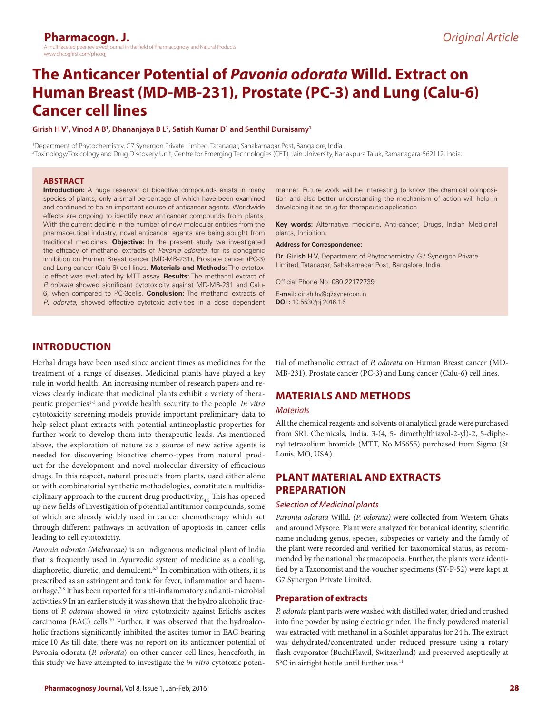# **The Anticancer Potential of** *Pavonia odorata* **Willd***.* **Extract on Human Breast (MD-MB-231), Prostate (PC-3) and Lung (Calu-6) Cancer cell lines**

#### Girish H V<sup>1</sup>, Vinod A B<sup>1</sup>, Dhananjaya B L<sup>2</sup>, Satish Kumar D<sup>1</sup> and Senthil Duraisamy<sup>1</sup>

1 Department of Phytochemistry, G7 Synergon Private Limited, Tatanagar, Sahakarnagar Post, Bangalore, India. 2 Toxinology/Toxicology and Drug Discovery Unit, Centre for Emerging Technologies (CET), Jain University, Kanakpura Taluk, Ramanagara-562112, India.

#### **ABSTRACT**

**Introduction:** A huge reservoir of bioactive compounds exists in many species of plants, only a small percentage of which have been examined and continued to be an important source of anticancer agents. Worldwide effects are ongoing to identify new anticancer compounds from plants. With the current decline in the number of new molecular entities from the pharmaceutical industry, novel anticancer agents are being sought from traditional medicines. **Objective:** In the present study we investigated the efficacy of methanol extracts of *Pavonia odorata*, for its clonogenic inhibition on Human Breast cancer (MD-MB-231), Prostate cancer (PC-3) and Lung cancer (Calu-6) cell lines. **Materials and Methods:** The cytotoxic effect was evaluated by MTT assay. **Results:** The methanol extract of *P. odorata* showed significant cytotoxicity against MD-MB-231 and Calu-6, when compared to PC-3cells. **Conclusion:** The methanol extracts of *P*. *odorata*, showed effective cytotoxic activities in a dose dependent

manner. Future work will be interesting to know the chemical composition and also better understanding the mechanism of action will help in developing it as drug for therapeutic application.

**Key words:** Alternative medicine, Anti-cancer, Drugs, Indian Medicinal plants, Inhibition.

**Address for Correspondence:**

Dr. Girish H V, Department of Phytochemistry, G7 Synergon Private Limited, Tatanagar, Sahakarnagar Post, Bangalore, India.

Official Phone No: 080 22172739

E-mail: girish.hv@g7synergon.in **DOI :** 10.5530/pj.2016.1.6

# **INTRODUCTION**

Herbal drugs have been used since ancient times as medicines for the treatment of a range of diseases. Medicinal plants have played a key role in world health. An increasing number of research papers and reviews clearly indicate that medicinal plants exhibit a variety of therapeutic properties<sup>1-3</sup> and provide health security to the people. *In vitro* cytotoxicity screening models provide important preliminary data to help select plant extracts with potential antineoplastic properties for further work to develop them into therapeutic leads. As mentioned above, the exploration of nature as a source of new active agents is needed for discovering bioactive chemo-types from natural product for the development and novel molecular diversity of efficacious drugs. In this respect, natural products from plants, used either alone or with combinatorial synthetic methodologies, constitute a multidisciplinary approach to the current drug productivity. $\frac{1}{4}$ . This has opened up new fields of investigation of potential antitumor compounds, some of which are already widely used in cancer chemotherapy which act through different pathways in activation of apoptosis in cancer cells leading to cell cytotoxicity.

*Pavonia odorata (Malvaceae)* is an indigenous medicinal plant of India that is frequently used in Ayurvedic system of medicine as a cooling, diaphoretic, diuretic, and demulcent.<sup>6,7</sup> In combination with others, it is prescribed as an astringent and tonic for fever, inflammation and haemorrhage.<sup>7,8</sup> It has been reported for anti-inflammatory and anti-microbial activities.9 In an earlier study it was shown that the hydro alcoholic fractions of *P. odorata* showed *in vitro* cytotoxicity against Erlich's ascites carcinoma (EAC) cells.10 Further, it was observed that the hydroalcoholic fractions significantly inhibited the ascites tumor in EAC bearing mice.10 As till date, there was no report on its anticancer potential of Pavonia odorata (*P. odorata*) on other cancer cell lines, henceforth, in this study we have attempted to investigate the *in vitro* cytotoxic potential of methanolic extract of *P. odorata* on Human Breast cancer (MD-MB-231), Prostate cancer (PC-3) and Lung cancer (Calu-6) cell lines.

# **MATERIALS AND METHODS**

#### *Materials*

All the chemical reagents and solvents of analytical grade were purchased from SRL Chemicals, India. 3-(4, 5- dimethylthiazol-2-yl)-2, 5-diphenyl tetrazolium bromide (MTT, No M5655) purchased from Sigma (St Louis, MO, USA).

# **PLANT MATERIAL AND EXTRACTS PREPARATION**

#### *Selection of Medicinal plants*

*Pavonia odorata* Willd*. (P. odorata)* were collected from Western Ghats and around Mysore. Plant were analyzed for botanical identity, scientific name including genus, species, subspecies or variety and the family of the plant were recorded and verified for taxonomical status, as recommended by the national pharmacopoeia. Further, the plants were identified by a Taxonomist and the voucher specimens (SY-P-52) were kept at G7 Synergon Private Limited.

#### **Preparation of extracts**

*P. odorata* plant parts were washed with distilled water, dried and crushed into fine powder by using electric grinder. The finely powdered material was extracted with methanol in a Soxhlet apparatus for 24 h. The extract was dehydrated/concentrated under reduced pressure using a rotary flash evaporator (BuchiFlawil, Switzerland) and preserved aseptically at 5°C in airtight bottle until further use.<sup>11</sup>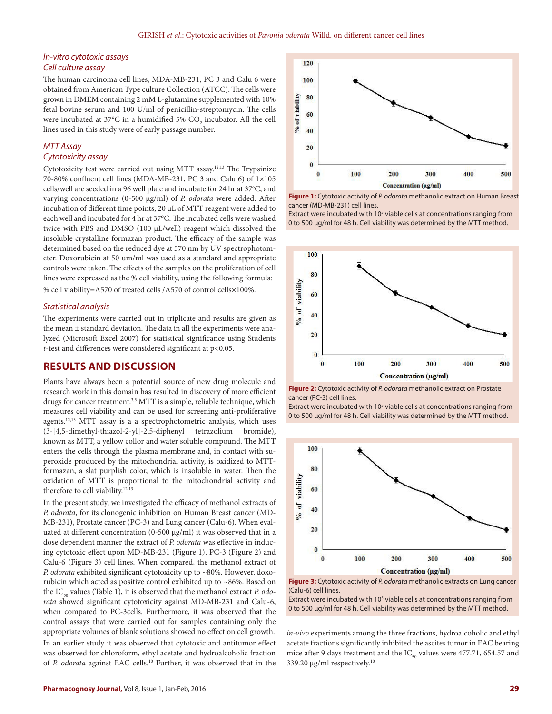#### *In-vitro cytotoxic assays Cell culture assay*

The human carcinoma cell lines, MDA-MB-231, PC 3 and Calu 6 were obtained from American Type culture Collection (ATCC). The cells were grown in DMEM containing 2 mM L-glutamine supplemented with 10% fetal bovine serum and 100 U/ml of penicillin-streptomycin. The cells were incubated at 37°C in a humidified 5%  $\mathrm{CO}_2$  incubator. All the cell lines used in this study were of early passage number.

### *MTT Assay Cytotoxicity assay*

Cytotoxicity test were carried out using MTT assay.12,13 The Trypsinize 70-80% confluent cell lines (MDA-MB-231, PC 3 and Calu 6) of 1×105 cells/well are seeded in a 96 well plate and incubate for 24 hr at 37°C, and varying concentrations (0-500 µg/ml) of *P. odorata* were added. After incubation of different time points, 20 µL of MTT reagent were added to each well and incubated for 4 hr at 37°C. The incubated cells were washed twice with PBS and DMSO (100 μL/well) reagent which dissolved the insoluble crystalline formazan product. The efficacy of the sample was determined based on the reduced dye at 570 nm by UV spectrophotometer. Doxorubicin at 50 um/ml was used as a standard and appropriate controls were taken. The effects of the samples on the proliferation of cell lines were expressed as the % cell viability, using the following formula: % cell viability=A570 of treated cells /A570 of control cells×100%.

#### *Statistical analysis*

The experiments were carried out in triplicate and results are given as the mean ± standard deviation. The data in all the experiments were analyzed (Microsoft Excel 2007) for statistical significance using Students *t*-test and differences were considered significant at p<0.05.

# **RESULTS AND DISCUSSION**

Plants have always been a potential source of new drug molecule and research work in this domain has resulted in discovery of more efficient drugs for cancer treatment.<sup>3,5</sup> MTT is a simple, reliable technique, which measures cell viability and can be used for screening anti-proliferative agents.12,13 MTT assay is a a spectrophotometric analysis, which uses (3-[4,5-dimethyl-thiazol-2-yl]-2,5-diphenyl tetrazolium bromide), known as MTT, a yellow collor and water soluble compound. The MTT enters the cells through the plasma membrane and, in contact with superoxide produced by the mitochondrial activity, is oxidized to MTTformazan, a slat purplish color, which is insoluble in water. Then the oxidation of MTT is proportional to the mitochondrial activity and therefore to cell viability.<sup>12,13</sup>

In the present study, we investigated the efficacy of methanol extracts of *P. odorata*, for its clonogenic inhibition on Human Breast cancer (MD-MB-231), Prostate cancer (PC-3) and Lung cancer (Calu-6). When evaluated at different concentration (0-500 μg/ml) it was observed that in a dose dependent manner the extract of *P. odorata* was effective in inducing cytotoxic effect upon MD-MB-231 (Figure 1), PC-3 (Figure 2) and Calu-6 (Figure 3) cell lines. When compared, the methanol extract of *P. odorata* exhibited significant cytotoxicity up to ~80%. However, doxorubicin which acted as positive control exhibited up to ~86%. Based on the IC<sub>50</sub> values (Table 1), it is observed that the methanol extract *P. odorata* showed significant cytotoxicity against MD-MB-231 and Calu-6, when compared to PC-3cells. Furthermore, it was observed that the control assays that were carried out for samples containing only the appropriate volumes of blank solutions showed no effect on cell growth. In an earlier study it was observed that cytotoxic and antitumor effect was observed for chloroform, ethyl acetate and hydroalcoholic fraction of *P. odorata* against EAC cells.10 Further, it was observed that in the



**Figure 1:** Cytotoxic activity of *P. odorata* methanolic extract on Human Breast cancer (MD-MB-231) cell lines.

Extract were incubated with 10<sup>5</sup> viable cells at concentrations ranging from 0 to 500 μg/ml for 48 h. Cell viability was determined by the MTT method.



**Figure 2:** Cytotoxic activity of *P. odorata* methanolic extract on Prostate cancer (PC-3) cell lines.

Extract were incubated with 10<sup>5</sup> viable cells at concentrations ranging from 0 to 500 μg/ml for 48 h. Cell viability was determined by the MTT method.





Extract were incubated with 10<sup>5</sup> viable cells at concentrations ranging from 0 to 500 μg/ml for 48 h. Cell viability was determined by the MTT method.

*in-vivo* experiments among the three fractions, hydroalcoholic and ethyl acetate fractions significantly inhibited the ascites tumor in EAC bearing mice after 9 days treatment and the  $IC_{50}$  values were 477.71, 654.57 and 339.20 μg/ml respectively.10